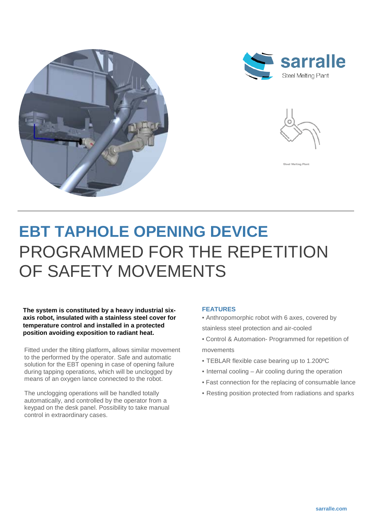





el Melting Plan

**EBT TAPHOLE OPENING DEVICE** PROGRAMMED FOR THE REPETITION OF SAFETY MOVEMENTS

**The system is constituted by a heavy industrial sixaxis robot, insulated with a stainless steel cover for temperature control and installed in a protected position avoiding exposition to radiant heat.**

Fitted under the tilting platform**,** allows similar movement to the performed by the operator. Safe and automatic solution for the EBT opening in case of opening failure during tapping operations, which will be unclogged by means of an oxygen lance connected to the robot.

The unclogging operations will be handled totally automatically, and controlled by the operator from a keypad on the desk panel. Possibility to take manual control in extraordinary cases.

## **FEATURES**

• Anthropomorphic robot with 6 axes, covered by stainless steel protection and air-cooled

- Control & Automation- Programmed for repetition of movements
- TEBLAR flexible case bearing up to 1.200ºC
- Internal cooling Air cooling during the operation
- Fast connection for the replacing of consumable lance
- Resting position protected from radiations and sparks